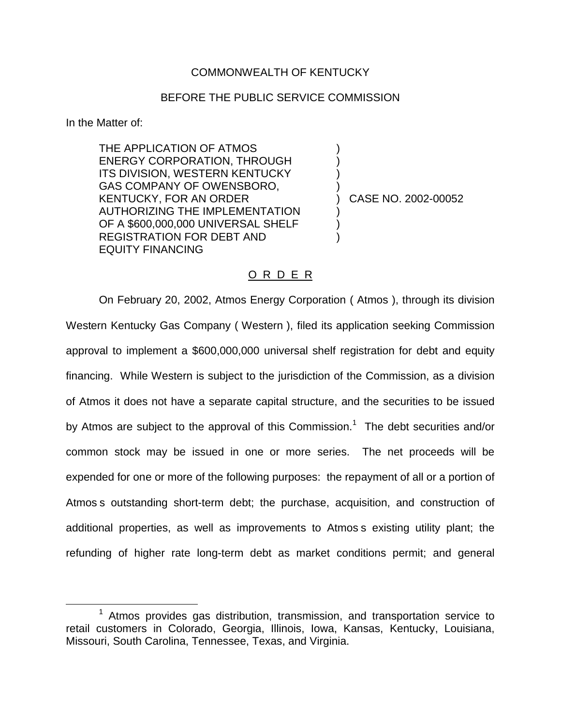## COMMONWEALTH OF KENTUCKY

## BEFORE THE PUBLIC SERVICE COMMISSION

) ) ) )

) ) )

In the Matter of:

THE APPLICATION OF ATMOS ENERGY CORPORATION, THROUGH ITS DIVISION, WESTERN KENTUCKY GAS COMPANY OF OWENSBORO, KENTUCKY, FOR AN ORDER AUTHORIZING THE IMPLEMENTATION OF A \$600,000,000 UNIVERSAL SHELF REGISTRATION FOR DEBT AND EQUITY FINANCING

) CASE NO. 2002-00052

## O R D E R

On February 20, 2002, Atmos Energy Corporation ( Atmos ), through its division Western Kentucky Gas Company ( Western ), filed its application seeking Commission approval to implement a \$600,000,000 universal shelf registration for debt and equity financing. While Western is subject to the jurisdiction of the Commission, as a division of Atmos it does not have a separate capital structure, and the securities to be issued by Atmos are subject to the approval of this Commission.<sup>1</sup> The debt securities and/or common stock may be issued in one or more series. The net proceeds will be expended for one or more of the following purposes: the repayment of all or a portion of Atmos s outstanding short-term debt; the purchase, acquisition, and construction of additional properties, as well as improvements to Atmos s existing utility plant; the refunding of higher rate long-term debt as market conditions permit; and general

 $1$  Atmos provides gas distribution, transmission, and transportation service to retail customers in Colorado, Georgia, Illinois, Iowa, Kansas, Kentucky, Louisiana, Missouri, South Carolina, Tennessee, Texas, and Virginia.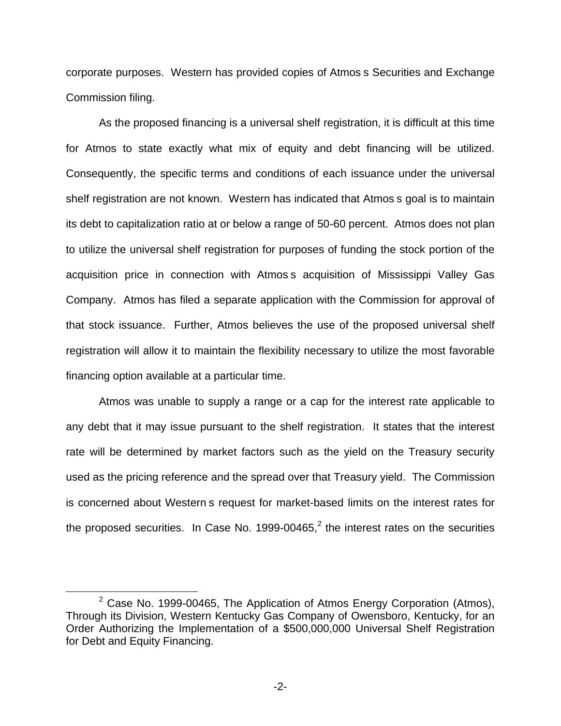corporate purposes. Western has provided copies of Atmos s Securities and Exchange Commission filing.

As the proposed financing is a universal shelf registration, it is difficult at this time for Atmos to state exactly what mix of equity and debt financing will be utilized. Consequently, the specific terms and conditions of each issuance under the universal shelf registration are not known. Western has indicated that Atmos s goal is to maintain its debt to capitalization ratio at or below a range of 50-60 percent. Atmos does not plan to utilize the universal shelf registration for purposes of funding the stock portion of the acquisition price in connection with Atmos s acquisition of Mississippi Valley Gas Company. Atmos has filed a separate application with the Commission for approval of that stock issuance. Further, Atmos believes the use of the proposed universal shelf registration will allow it to maintain the flexibility necessary to utilize the most favorable financing option available at a particular time.

Atmos was unable to supply a range or a cap for the interest rate applicable to any debt that it may issue pursuant to the shelf registration. It states that the interest rate will be determined by market factors such as the yield on the Treasury security used as the pricing reference and the spread over that Treasury yield. The Commission is concerned about Western s request for market-based limits on the interest rates for the proposed securities. In Case No. 1999-00465, $<sup>2</sup>$  the interest rates on the securities</sup>

 $2$  Case No. 1999-00465, The Application of Atmos Energy Corporation (Atmos), Through its Division, Western Kentucky Gas Company of Owensboro, Kentucky, for an Order Authorizing the Implementation of a \$500,000,000 Universal Shelf Registration for Debt and Equity Financing.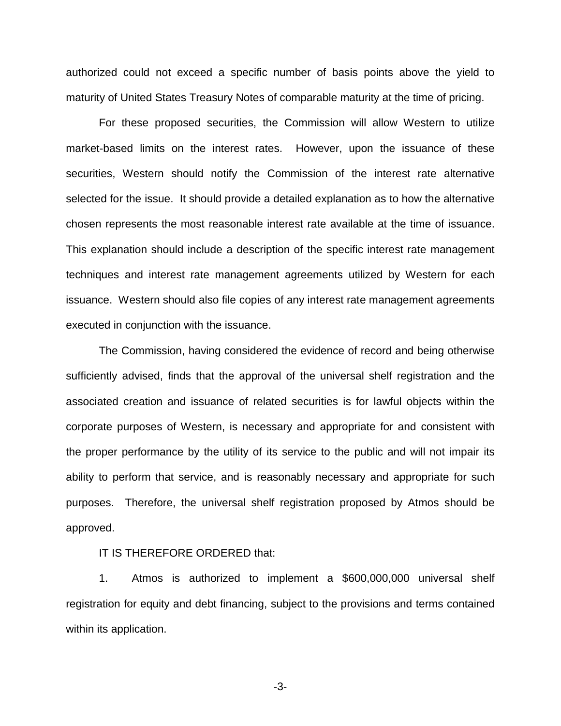authorized could not exceed a specific number of basis points above the yield to maturity of United States Treasury Notes of comparable maturity at the time of pricing.

For these proposed securities, the Commission will allow Western to utilize market-based limits on the interest rates. However, upon the issuance of these securities, Western should notify the Commission of the interest rate alternative selected for the issue. It should provide a detailed explanation as to how the alternative chosen represents the most reasonable interest rate available at the time of issuance. This explanation should include a description of the specific interest rate management techniques and interest rate management agreements utilized by Western for each issuance. Western should also file copies of any interest rate management agreements executed in conjunction with the issuance.

The Commission, having considered the evidence of record and being otherwise sufficiently advised, finds that the approval of the universal shelf registration and the associated creation and issuance of related securities is for lawful objects within the corporate purposes of Western, is necessary and appropriate for and consistent with the proper performance by the utility of its service to the public and will not impair its ability to perform that service, and is reasonably necessary and appropriate for such purposes. Therefore, the universal shelf registration proposed by Atmos should be approved.

## IT IS THEREFORE ORDERED that:

1. Atmos is authorized to implement a \$600,000,000 universal shelf registration for equity and debt financing, subject to the provisions and terms contained within its application.

-3-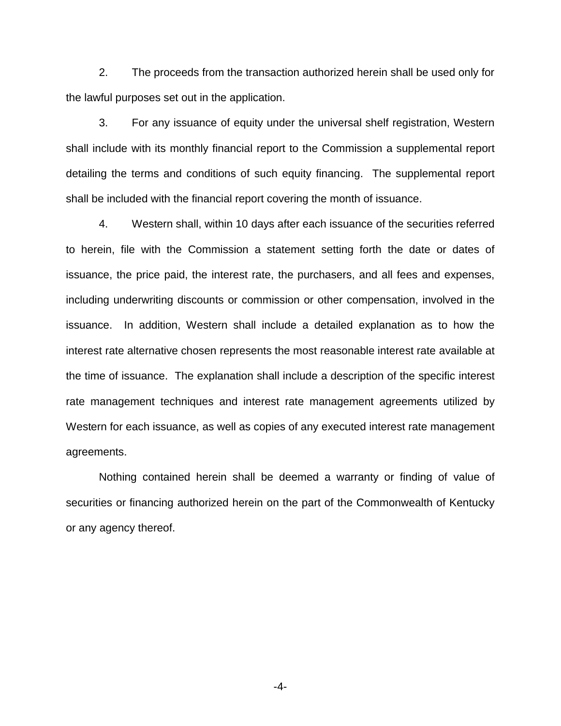2. The proceeds from the transaction authorized herein shall be used only for the lawful purposes set out in the application.

3. For any issuance of equity under the universal shelf registration, Western shall include with its monthly financial report to the Commission a supplemental report detailing the terms and conditions of such equity financing. The supplemental report shall be included with the financial report covering the month of issuance.

4. Western shall, within 10 days after each issuance of the securities referred to herein, file with the Commission a statement setting forth the date or dates of issuance, the price paid, the interest rate, the purchasers, and all fees and expenses, including underwriting discounts or commission or other compensation, involved in the issuance. In addition, Western shall include a detailed explanation as to how the interest rate alternative chosen represents the most reasonable interest rate available at the time of issuance. The explanation shall include a description of the specific interest rate management techniques and interest rate management agreements utilized by Western for each issuance, as well as copies of any executed interest rate management agreements.

Nothing contained herein shall be deemed a warranty or finding of value of securities or financing authorized herein on the part of the Commonwealth of Kentucky or any agency thereof.

-4-